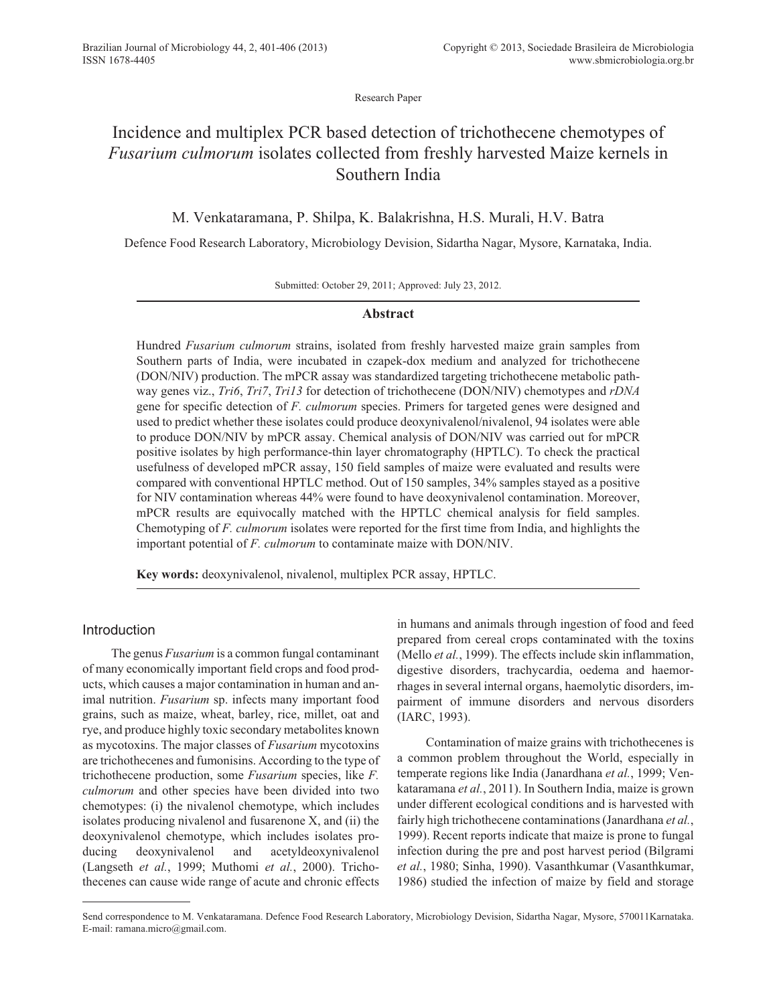Research Paper

# Incidence and multiplex PCR based detection of trichothecene chemotypes of *Fusarium culmorum* isolates collected from freshly harvested Maize kernels in Southern India

M. Venkataramana, P. Shilpa, K. Balakrishna, H.S. Murali, H.V. Batra

Defence Food Research Laboratory, Microbiology Devision, Sidartha Nagar, Mysore, Karnataka, India.

Submitted: October 29, 2011; Approved: July 23, 2012.

## **Abstract**

Hundred *Fusarium culmorum* strains, isolated from freshly harvested maize grain samples from Southern parts of India, were incubated in czapek-dox medium and analyzed for trichothecene (DON/NIV) production. The mPCR assay was standardized targeting trichothecene metabolic pathway genes viz., *Tri6*, *Tri7*, *Tri13* for detection of trichothecene (DON/NIV) chemotypes and *rDNA* gene for specific detection of *F. culmorum* species. Primers for targeted genes were designed and used to predict whether these isolates could produce deoxynivalenol/nivalenol, 94 isolates were able to produce DON/NIV by mPCR assay. Chemical analysis of DON/NIV was carried out for mPCR positive isolates by high performance-thin layer chromatography (HPTLC). To check the practical usefulness of developed mPCR assay, 150 field samples of maize were evaluated and results were compared with conventional HPTLC method. Out of 150 samples, 34% samples stayed as a positive for NIV contamination whereas 44% were found to have deoxynivalenol contamination. Moreover, mPCR results are equivocally matched with the HPTLC chemical analysis for field samples. Chemotyping of *F. culmorum* isolates were reported for the first time from India, and highlights the important potential of *F. culmorum* to contaminate maize with DON/NIV.

**Key words:** deoxynivalenol, nivalenol, multiplex PCR assay, HPTLC.

# Introduction

The genus *Fusarium* is a common fungal contaminant of many economically important field crops and food products, which causes a major contamination in human and animal nutrition. *Fusarium* sp. infects many important food grains, such as maize, wheat, barley, rice, millet, oat and rye, and produce highly toxic secondary metabolites known as mycotoxins. The major classes of *Fusarium* mycotoxins are trichothecenes and fumonisins. According to the type of trichothecene production, some *Fusarium* species, like *F. culmorum* and other species have been divided into two chemotypes: (i) the nivalenol chemotype, which includes isolates producing nivalenol and fusarenone X, and (ii) the deoxynivalenol chemotype, which includes isolates producing deoxynivalenol and acetyldeoxynivalenol (Langseth *et al.*, 1999; Muthomi *et al.*, 2000). Trichothecenes can cause wide range of acute and chronic effects in humans and animals through ingestion of food and feed prepared from cereal crops contaminated with the toxins (Mello *et al.*, 1999). The effects include skin inflammation, digestive disorders, trachycardia, oedema and haemorrhages in several internal organs, haemolytic disorders, impairment of immune disorders and nervous disorders (IARC, 1993).

Contamination of maize grains with trichothecenes is a common problem throughout the World, especially in temperate regions like India (Janardhana *et al.*, 1999; Venkataramana *et al.*, 2011). In Southern India, maize is grown under different ecological conditions and is harvested with fairly high trichothecene contaminations (Janardhana *et al.*, 1999). Recent reports indicate that maize is prone to fungal infection during the pre and post harvest period (Bilgrami *et al.*, 1980; Sinha, 1990). Vasanthkumar (Vasanthkumar, 1986) studied the infection of maize by field and storage

Send correspondence to M. Venkataramana. Defence Food Research Laboratory, Microbiology Devision, Sidartha Nagar, Mysore, 570011Karnataka. E-mail: ramana.micro@gmail.com.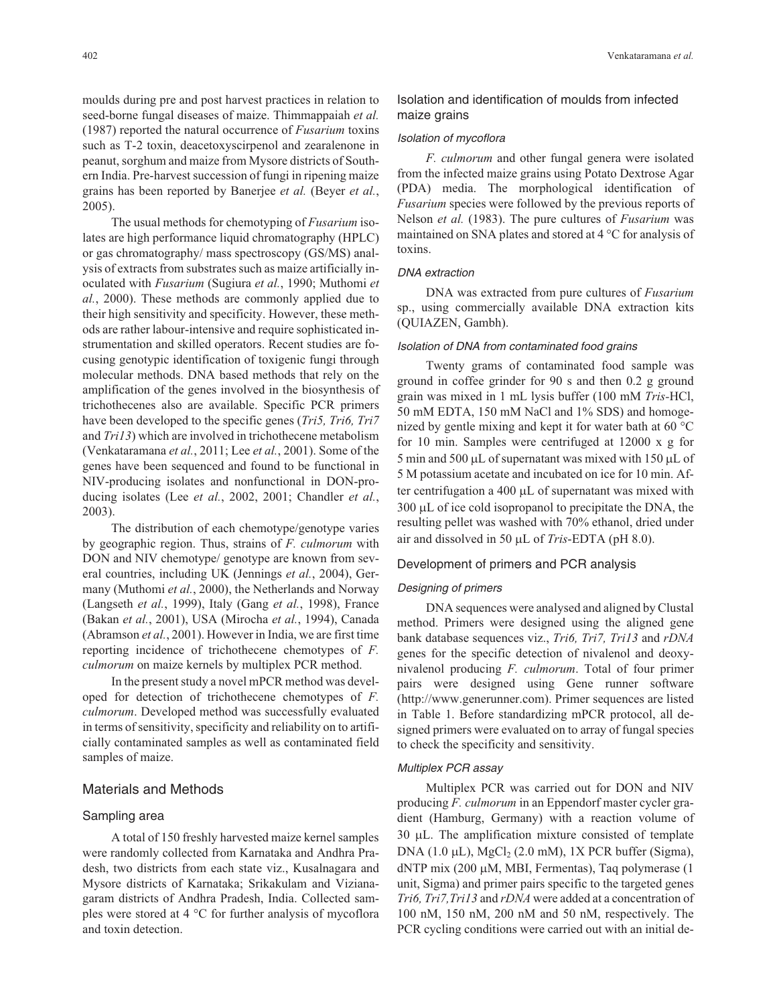moulds during pre and post harvest practices in relation to seed-borne fungal diseases of maize. Thimmappaiah *et al.* (1987) reported the natural occurrence of *Fusarium* toxins such as T-2 toxin, deacetoxyscirpenol and zearalenone in peanut, sorghum and maize from Mysore districts of Southern India. Pre-harvest succession of fungi in ripening maize grains has been reported by Banerjee *et al.* (Beyer *et al.*, 2005).

The usual methods for chemotyping of *Fusarium* isolates are high performance liquid chromatography (HPLC) or gas chromatography/ mass spectroscopy (GS/MS) analysis of extracts from substrates such as maize artificially inoculated with *Fusarium* (Sugiura *et al.*, 1990; Muthomi *et al.*, 2000). These methods are commonly applied due to their high sensitivity and specificity. However, these methods are rather labour-intensive and require sophisticated instrumentation and skilled operators. Recent studies are focusing genotypic identification of toxigenic fungi through molecular methods. DNA based methods that rely on the amplification of the genes involved in the biosynthesis of trichothecenes also are available. Specific PCR primers have been developed to the specific genes (*Tri5, Tri6, Tri7* and *Tri13*) which are involved in trichothecene metabolism (Venkataramana *et al.*, 2011; Lee *et al.*, 2001). Some of the genes have been sequenced and found to be functional in NIV-producing isolates and nonfunctional in DON-producing isolates (Lee *et al.*, 2002, 2001; Chandler *et al.*, 2003).

The distribution of each chemotype/genotype varies by geographic region. Thus, strains of *F. culmorum* with DON and NIV chemotype/ genotype are known from several countries, including UK (Jennings *et al.*, 2004), Germany (Muthomi *et al.*, 2000), the Netherlands and Norway (Langseth *et al.*, 1999), Italy (Gang *et al.*, 1998), France (Bakan *et al.*, 2001), USA (Mirocha *et al.*, 1994), Canada (Abramson *et al.*, 2001). However in India, we are first time reporting incidence of trichothecene chemotypes of *F. culmorum* on maize kernels by multiplex PCR method.

In the present study a novel mPCR method was developed for detection of trichothecene chemotypes of *F. culmorum*. Developed method was successfully evaluated in terms of sensitivity, specificity and reliability on to artificially contaminated samples as well as contaminated field samples of maize.

## Materials and Methods

#### Sampling area

A total of 150 freshly harvested maize kernel samples were randomly collected from Karnataka and Andhra Pradesh, two districts from each state viz., Kusalnagara and Mysore districts of Karnataka; Srikakulam and Vizianagaram districts of Andhra Pradesh, India. Collected samples were stored at 4 °C for further analysis of mycoflora and toxin detection.

Isolation and identification of moulds from infected maize grains

#### Isolation of mycoflora

*F. culmorum* and other fungal genera were isolated from the infected maize grains using Potato Dextrose Agar (PDA) media. The morphological identification of *Fusarium* species were followed by the previous reports of Nelson *et al.* (1983). The pure cultures of *Fusarium* was maintained on SNA plates and stored at 4 °C for analysis of toxins.

## DNA extraction

DNA was extracted from pure cultures of *Fusarium* sp., using commercially available DNA extraction kits (QUIAZEN, Gambh).

#### Isolation of DNA from contaminated food grains

Twenty grams of contaminated food sample was ground in coffee grinder for 90 s and then 0.2 g ground grain was mixed in 1 mL lysis buffer (100 mM *Tris-*HCl, 50 mM EDTA, 150 mM NaCl and 1% SDS) and homogenized by gentle mixing and kept it for water bath at 60 °C for 10 min. Samples were centrifuged at 12000 x g for  $5$  min and  $500 \mu L$  of supernatant was mixed with  $150 \mu L$  of 5 M potassium acetate and incubated on ice for 10 min. After centrifugation a 400 µL of supernatant was mixed with 300 µL of ice cold isopropanol to precipitate the DNA, the resulting pellet was washed with 70% ethanol, dried under air and dissolved in 50  $\mu$ L of *Tris*-EDTA (pH 8.0).

#### Development of primers and PCR analysis

#### Designing of primers

DNA sequences were analysed and aligned by Clustal method. Primers were designed using the aligned gene bank database sequences viz., *Tri6, Tri7, Tri13* and *rDNA* genes for the specific detection of nivalenol and deoxynivalenol producing *F. culmorum*. Total of four primer pairs were designed using Gene runner software (http://www.generunner.com). Primer sequences are listed in Table 1. Before standardizing mPCR protocol, all designed primers were evaluated on to array of fungal species to check the specificity and sensitivity.

#### Multiplex PCR assay

Multiplex PCR was carried out for DON and NIV producing *F. culmorum* in an Eppendorf master cycler gradient (Hamburg, Germany) with a reaction volume of 30 µL. The amplification mixture consisted of template  $DNA (1.0 µL), MgCl<sub>2</sub> (2.0 mM), 1X PCR buffer (Sigma),$ dNTP mix (200 µM, MBI, Fermentas), Taq polymerase (1 unit, Sigma) and primer pairs specific to the targeted genes *Tri6, Tri7,Tri13* and *rDNA* were added at a concentration of 100 nM, 150 nM, 200 nM and 50 nM, respectively. The PCR cycling conditions were carried out with an initial de-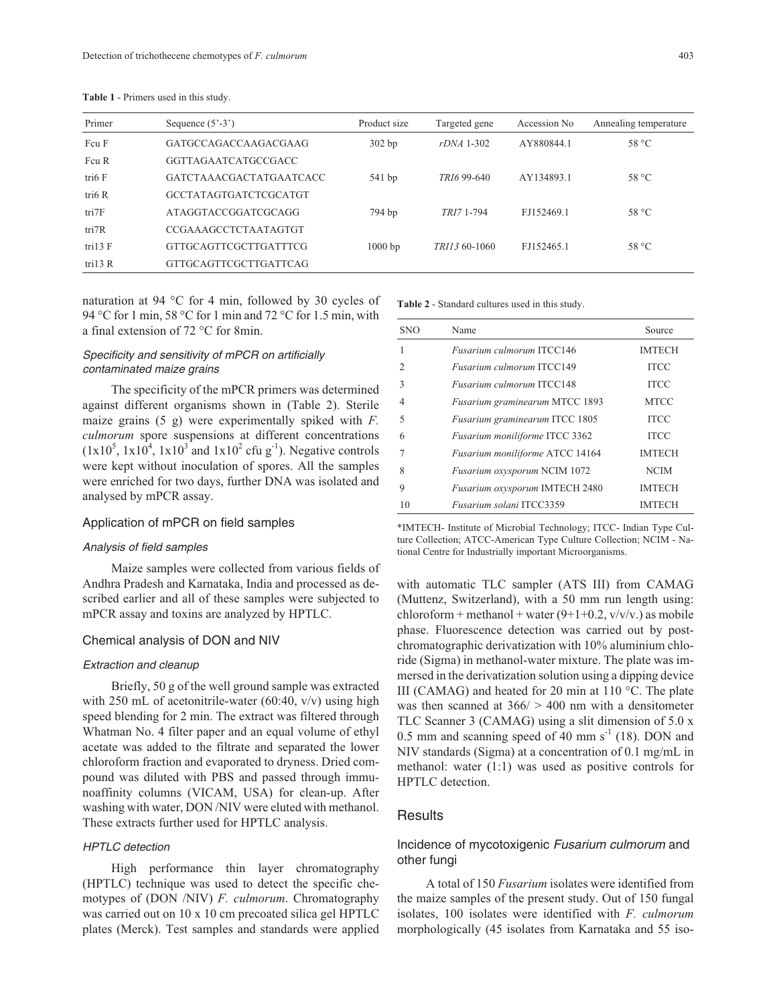| Primer    | Sequence $(5^{\circ} - 3^{\circ})$ | Product size | Targeted gene        | Accession No | Annealing temperature |
|-----------|------------------------------------|--------------|----------------------|--------------|-----------------------|
| Fcu F     | GATGCCAGACCAAGACGAAG               | 302bp        | $rDNA$ 1-302         | AY880844.1   | 58 °C                 |
| Fcu R     | <b>GGTTAGAATCATGCCGACC</b>         |              |                      |              |                       |
| tri6 F    | <b>GATCTAAACGACTATGAATCACC</b>     | 541 bp       | TRI6 99-640          | AY134893.1   | 58 °C                 |
| tri $6R$  | GCCTATAGTGATCTCGCATGT              |              |                      |              |                       |
| tri7F     | ATAGGTACCGGATCGCAGG                | 794 bp       | TR17 1-794           | FJ152469.1   | 58 °C                 |
| tri7R     | <b>CCGAAAGCCTCTAATAGTGT</b>        |              |                      |              |                       |
| tri13 F   | <b>GTTGCAGTTCGCTTGATTTCG</b>       | $1000$ bp    | <i>TRI13</i> 60-1060 | FJ152465.1   | 58 °C                 |
| tri13 $R$ | <b>GTTGCAGTTCGCTTGATTCAG</b>       |              |                      |              |                       |

**Table 1** - Primers used in this study.

naturation at 94 °C for 4 min, followed by 30 cycles of 94 °C for 1 min, 58 °C for 1 min and 72 °C for 1.5 min, with a final extension of 72 °C for 8min.

## Specificity and sensitivity of mPCR on artificially contaminated maize grains

The specificity of the mPCR primers was determined against different organisms shown in (Table 2). Sterile maize grains (5 g) were experimentally spiked with *F. culmorum* spore suspensions at different concentrations  $(1x10<sup>5</sup>, 1x10<sup>4</sup>, 1x10<sup>3</sup>$  and  $1x10<sup>2</sup>$  cfu g<sup>-1</sup>). Negative controls were kept without inoculation of spores. All the samples were enriched for two days, further DNA was isolated and analysed by mPCR assay.

## Application of mPCR on field samples

#### Analysis of field samples

Maize samples were collected from various fields of Andhra Pradesh and Karnataka, India and processed as described earlier and all of these samples were subjected to mPCR assay and toxins are analyzed by HPTLC.

## Chemical analysis of DON and NIV

#### Extraction and cleanup

Briefly, 50 g of the well ground sample was extracted with 250 mL of acetonitrile-water  $(60:40, v/v)$  using high speed blending for 2 min. The extract was filtered through Whatman No. 4 filter paper and an equal volume of ethyl acetate was added to the filtrate and separated the lower chloroform fraction and evaporated to dryness. Dried compound was diluted with PBS and passed through immunoaffinity columns (VICAM, USA) for clean-up. After washing with water, DON /NIV were eluted with methanol. These extracts further used for HPTLC analysis.

#### HPTLC detection

High performance thin layer chromatography (HPTLC) technique was used to detect the specific chemotypes of (DON /NIV) *F. culmorum*. Chromatography was carried out on 10 x 10 cm precoated silica gel HPTLC plates (Merck). Test samples and standards were applied

**Table 2** - Standard cultures used in this study.

| <b>SNO</b> | Name                             | Source        |
|------------|----------------------------------|---------------|
| 1          | <b>Fusarium culmorum ITCC146</b> | <b>IMTECH</b> |
|            | <b>Fusarium culmorum ITCC149</b> | <b>ITCC</b>   |
| κ          | <b>Fusarium culmorum ITCC148</b> | <b>ITCC</b>   |
|            | Fusarium graminearum MTCC 1893   | <b>MTCC</b>   |
| 5          | Fusarium graminearum ITCC 1805   | <b>ITCC</b>   |
| 6          | Fusarium moniliforme ITCC 3362   | <b>ITCC</b>   |
|            | Fusarium moniliforme ATCC 14164  | <b>IMTECH</b> |
| 8          | Fusarium oxysporum NCIM 1072     | <b>NCIM</b>   |
| 9          | Fusarium oxysporum IMTECH 2480   | <b>IMTECH</b> |
| 10         | Fusarium solani ITCC3359         | <b>IMTECH</b> |

\*IMTECH- Institute of Microbial Technology; ITCC- Indian Type Culture Collection; ATCC-American Type Culture Collection; NCIM - National Centre for Industrially important Microorganisms.

with automatic TLC sampler (ATS III) from CAMAG (Muttenz, Switzerland), with a 50 mm run length using: chloroform + methanol + water  $(9+1+0.2, v/v/v.)$  as mobile phase. Fluorescence detection was carried out by postchromatographic derivatization with 10% aluminium chloride (Sigma) in methanol-water mixture. The plate was immersed in the derivatization solution using a dipping device III (CAMAG) and heated for 20 min at 110 °C. The plate was then scanned at  $366/ > 400$  nm with a densitometer TLC Scanner 3 (CAMAG) using a slit dimension of 5.0 x 0.5 mm and scanning speed of 40 mm  $s^{-1}$  (18). DON and NIV standards (Sigma) at a concentration of 0.1 mg/mL in methanol: water (1:1) was used as positive controls for HPTLC detection.

## **Results**

## Incidence of mycotoxigenic Fusarium culmorum and other fungi

A total of 150 *Fusarium* isolates were identified from the maize samples of the present study. Out of 150 fungal isolates, 100 isolates were identified with *F. culmorum* morphologically (45 isolates from Karnataka and 55 iso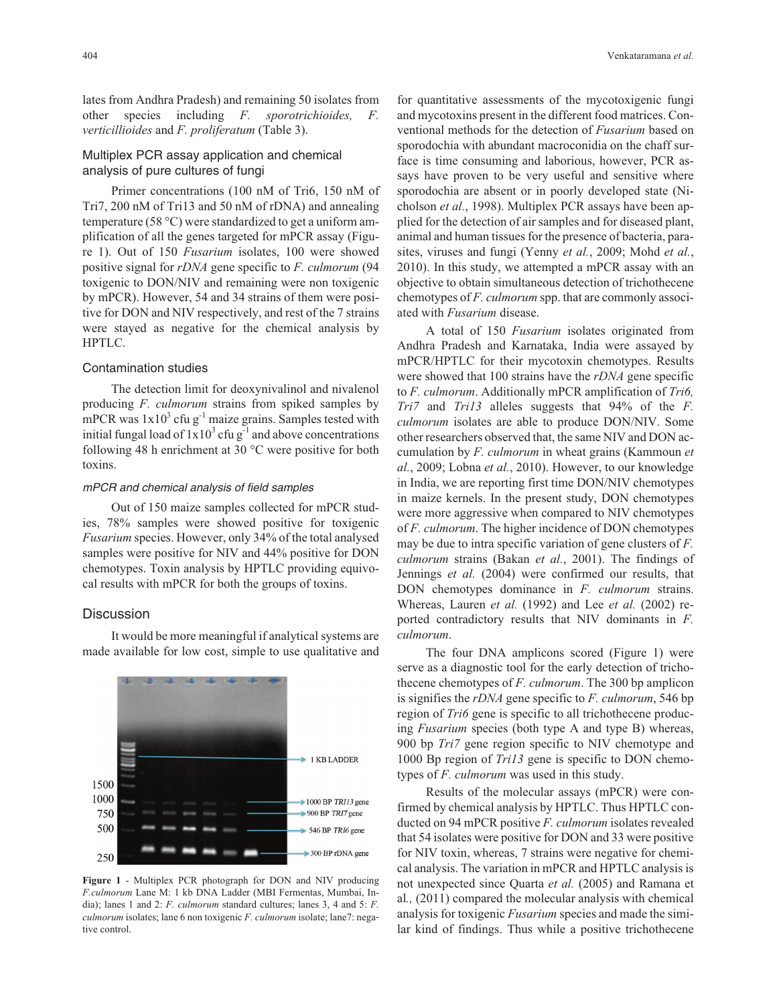lates from Andhra Pradesh) and remaining 50 isolates from other species including *F. sporotrichioides, F. verticillioides* and *F. proliferatum* (Table 3).

## Multiplex PCR assay application and chemical analysis of pure cultures of fungi

Primer concentrations (100 nM of Tri6, 150 nM of Tri7, 200 nM of Tri13 and 50 nM of rDNA) and annealing temperature (58 $^{\circ}$ C) were standardized to get a uniform amplification of all the genes targeted for mPCR assay (Figure 1). Out of 150 *Fusarium* isolates, 100 were showed positive signal for *rDNA* gene specific to *F. culmorum* (94 toxigenic to DON/NIV and remaining were non toxigenic by mPCR). However, 54 and 34 strains of them were positive for DON and NIV respectively, and rest of the 7 strains were stayed as negative for the chemical analysis by HPTLC.

## Contamination studies

The detection limit for deoxynivalinol and nivalenol producing *F. culmorum* strains from spiked samples by mPCR was  $1x10^3$  cfu g<sup>-1</sup> maize grains. Samples tested with initial fungal load of  $1x10^3$  cfu g<sup>-1</sup> and above concentrations following 48 h enrichment at 30 °C were positive for both toxins.

#### mPCR and chemical analysis of field samples

Out of 150 maize samples collected for mPCR studies, 78% samples were showed positive for toxigenic *Fusarium* species. However, only 34% of the total analysed samples were positive for NIV and 44% positive for DON chemotypes. Toxin analysis by HPTLC providing equivocal results with mPCR for both the groups of toxins.

#### Discussion

It would be more meaningful if analytical systems are made available for low cost, simple to use qualitative and



**Figure 1** - Multiplex PCR photograph for DON and NIV producing *F.culmorum* Lane M: 1 kb DNA Ladder (MBI Fermentas, Mumbai, India); lanes 1 and 2: *F. culmorum* standard cultures; lanes 3, 4 and 5: *F. culmorum* isolates; lane 6 non toxigenic *F. culmorum* isolate; lane7: negative control.

for quantitative assessments of the mycotoxigenic fungi and mycotoxins present in the different food matrices. Conventional methods for the detection of *Fusarium* based on sporodochia with abundant macroconidia on the chaff surface is time consuming and laborious, however, PCR assays have proven to be very useful and sensitive where sporodochia are absent or in poorly developed state (Nicholson *et al.*, 1998). Multiplex PCR assays have been applied for the detection of air samples and for diseased plant, animal and human tissues for the presence of bacteria, parasites, viruses and fungi (Yenny *et al.*, 2009; Mohd *et al.*, 2010). In this study, we attempted a mPCR assay with an objective to obtain simultaneous detection of trichothecene chemotypes of *F. culmorum* spp. that are commonly associated with *Fusarium* disease.

A total of 150 *Fusarium* isolates originated from Andhra Pradesh and Karnataka, India were assayed by mPCR/HPTLC for their mycotoxin chemotypes. Results were showed that 100 strains have the *rDNA* gene specific to *F. culmorum*. Additionally mPCR amplification of *Tri6, Tri7* and *Tri13* alleles suggests that 94% of the *F. culmorum* isolates are able to produce DON/NIV. Some other researchers observed that, the same NIV and DON accumulation by *F. culmorum* in wheat grains (Kammoun *et al.*, 2009; Lobna *et al.*, 2010). However, to our knowledge in India, we are reporting first time DON/NIV chemotypes in maize kernels. In the present study, DON chemotypes were more aggressive when compared to NIV chemotypes of *F. culmorum*. The higher incidence of DON chemotypes may be due to intra specific variation of gene clusters of *F. culmorum* strains (Bakan *et al.*, 2001). The findings of Jennings *et al.* (2004) were confirmed our results, that DON chemotypes dominance in *F. culmorum* strains. Whereas, Lauren *et al.* (1992) and Lee *et al.* (2002) reported contradictory results that NIV dominants in *F. culmorum*.

The four DNA amplicons scored (Figure 1) were serve as a diagnostic tool for the early detection of trichothecene chemotypes of *F. culmorum*. The 300 bp amplicon is signifies the *rDNA* gene specific to *F. culmorum*, 546 bp region of *Tri6* gene is specific to all trichothecene producing *Fusarium* species (both type A and type B) whereas, 900 bp *Tri7* gene region specific to NIV chemotype and 1000 Bp region of *Tri13* gene is specific to DON chemotypes of *F. culmorum* was used in this study.

Results of the molecular assays (mPCR) were confirmed by chemical analysis by HPTLC. Thus HPTLC conducted on 94 mPCR positive *F. culmorum* isolates revealed that 54 isolates were positive for DON and 33 were positive for NIV toxin, whereas, 7 strains were negative for chemical analysis. The variation in mPCR and HPTLC analysis is not unexpected since Quarta *et al.* (2005) and Ramana et al*.,* (2011) compared the molecular analysis with chemical analysis for toxigenic *Fusarium* species and made the similar kind of findings. Thus while a positive trichothecene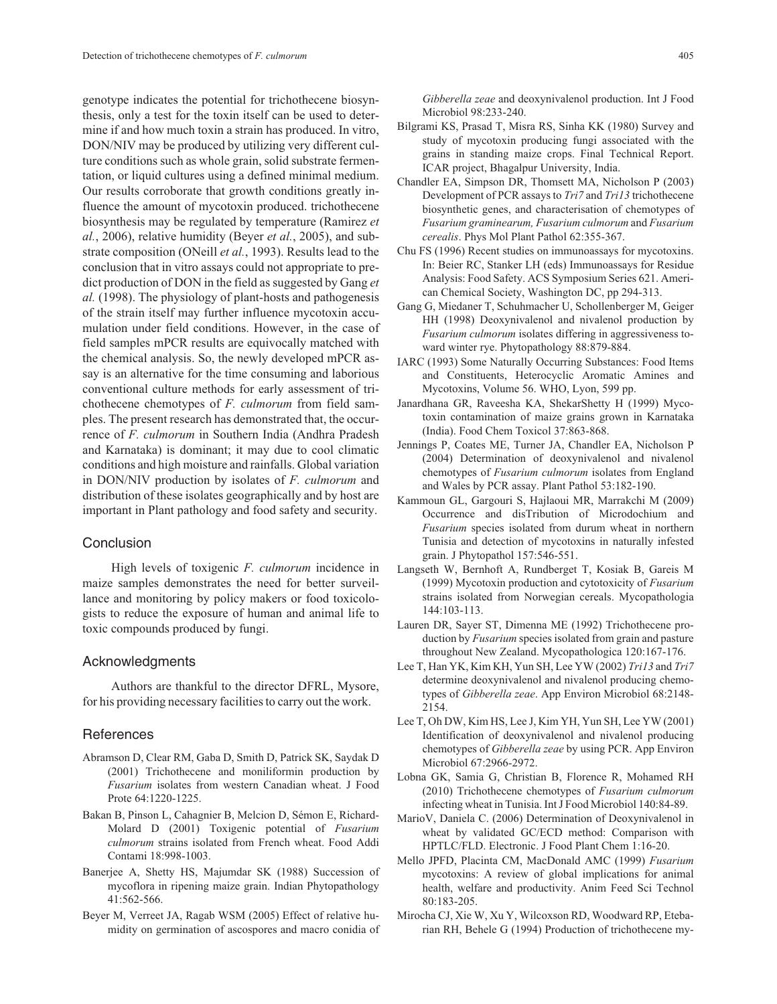genotype indicates the potential for trichothecene biosynthesis, only a test for the toxin itself can be used to determine if and how much toxin a strain has produced. In vitro, DON/NIV may be produced by utilizing very different culture conditions such as whole grain, solid substrate fermentation, or liquid cultures using a defined minimal medium. Our results corroborate that growth conditions greatly influence the amount of mycotoxin produced. trichothecene biosynthesis may be regulated by temperature (Ramirez *et al.*, 2006), relative humidity (Beyer *et al.*, 2005), and substrate composition (ONeill *et al.*, 1993). Results lead to the conclusion that in vitro assays could not appropriate to predict production of DON in the field as suggested by Gang *et al.* (1998). The physiology of plant-hosts and pathogenesis of the strain itself may further influence mycotoxin accumulation under field conditions. However, in the case of field samples mPCR results are equivocally matched with the chemical analysis. So, the newly developed mPCR assay is an alternative for the time consuming and laborious conventional culture methods for early assessment of trichothecene chemotypes of *F. culmorum* from field samples. The present research has demonstrated that, the occurrence of *F. culmorum* in Southern India (Andhra Pradesh and Karnataka) is dominant; it may due to cool climatic conditions and high moisture and rainfalls. Global variation in DON/NIV production by isolates of *F. culmorum* and distribution of these isolates geographically and by host are important in Plant pathology and food safety and security.

## **Conclusion**

High levels of toxigenic *F. culmorum* incidence in maize samples demonstrates the need for better surveillance and monitoring by policy makers or food toxicologists to reduce the exposure of human and animal life to toxic compounds produced by fungi.

## Acknowledgments

Authors are thankful to the director DFRL, Mysore, for his providing necessary facilities to carry out the work.

## **References**

- Abramson D, Clear RM, Gaba D, Smith D, Patrick SK, Saydak D (2001) Trichothecene and moniliformin production by *Fusarium* isolates from western Canadian wheat. J Food Prote 64:1220-1225.
- Bakan B, Pinson L, Cahagnier B, Melcion D, Sémon E, Richard-Molard D (2001) Toxigenic potential of *Fusarium culmorum* strains isolated from French wheat. Food Addi Contami 18:998-1003.
- Banerjee A, Shetty HS, Majumdar SK (1988) Succession of mycoflora in ripening maize grain. Indian Phytopathology 41:562-566.
- Beyer M, Verreet JA, Ragab WSM (2005) Effect of relative humidity on germination of ascospores and macro conidia of

*Gibberella zeae* and deoxynivalenol production. Int J Food Microbiol 98:233-240.

- Bilgrami KS, Prasad T, Misra RS, Sinha KK (1980) Survey and study of mycotoxin producing fungi associated with the grains in standing maize crops. Final Technical Report. ICAR project, Bhagalpur University, India.
- Chandler EA, Simpson DR, Thomsett MA, Nicholson P (2003) Development of PCR assays to *Tri7* and *Tri13* trichothecene biosynthetic genes, and characterisation of chemotypes of *Fusarium graminearum, Fusarium culmorum* and *Fusarium cerealis*. Phys Mol Plant Pathol 62:355-367.
- Chu FS (1996) Recent studies on immunoassays for mycotoxins. In: Beier RC, Stanker LH (eds) Immunoassays for Residue Analysis: Food Safety. ACS Symposium Series 621. American Chemical Society, Washington DC, pp 294-313.
- Gang G, Miedaner T, Schuhmacher U, Schollenberger M, Geiger HH (1998) Deoxynivalenol and nivalenol production by *Fusarium culmorum* isolates differing in aggressiveness toward winter rye. Phytopathology 88:879-884.
- IARC (1993) Some Naturally Occurring Substances: Food Items and Constituents, Heterocyclic Aromatic Amines and Mycotoxins, Volume 56. WHO, Lyon, 599 pp.
- Janardhana GR, Raveesha KA, ShekarShetty H (1999) Mycotoxin contamination of maize grains grown in Karnataka (India). Food Chem Toxicol 37:863-868.
- Jennings P, Coates ME, Turner JA, Chandler EA, Nicholson P (2004) Determination of deoxynivalenol and nivalenol chemotypes of *Fusarium culmorum* isolates from England and Wales by PCR assay. Plant Pathol 53:182-190.
- Kammoun GL, Gargouri S, Hajlaoui MR, Marrakchi M (2009) Occurrence and disTribution of Microdochium and *Fusarium* species isolated from durum wheat in northern Tunisia and detection of mycotoxins in naturally infested grain. J Phytopathol 157:546-551.
- Langseth W, Bernhoft A, Rundberget T, Kosiak B, Gareis M (1999) Mycotoxin production and cytotoxicity of *Fusarium* strains isolated from Norwegian cereals. Mycopathologia 144:103-113.
- Lauren DR, Sayer ST, Dimenna ME (1992) Trichothecene production by *Fusarium* species isolated from grain and pasture throughout New Zealand. Mycopathologica 120:167-176.
- Lee T, Han YK, Kim KH, Yun SH, Lee YW (2002) *Tri13* and *Tri7* determine deoxynivalenol and nivalenol producing chemotypes of *Gibberella zeae*. App Environ Microbiol 68:2148- 2154.
- Lee T, Oh DW, Kim HS, Lee J, Kim YH, Yun SH, Lee YW (2001) Identification of deoxynivalenol and nivalenol producing chemotypes of *Gibberella zeae* by using PCR. App Environ Microbiol 67:2966-2972.
- Lobna GK, Samia G, Christian B, Florence R, Mohamed RH (2010) Trichothecene chemotypes of *Fusarium culmorum* infecting wheat in Tunisia. Int J Food Microbiol 140:84-89.
- MarioV, Daniela C. (2006) Determination of Deoxynivalenol in wheat by validated GC/ECD method: Comparison with HPTLC/FLD. Electronic. J Food Plant Chem 1:16-20.
- Mello JPFD, Placinta CM, MacDonald AMC (1999) *Fusarium* mycotoxins: A review of global implications for animal health, welfare and productivity. Anim Feed Sci Technol 80:183-205.
- Mirocha CJ, Xie W, Xu Y, Wilcoxson RD, Woodward RP, Etebarian RH, Behele G (1994) Production of trichothecene my-